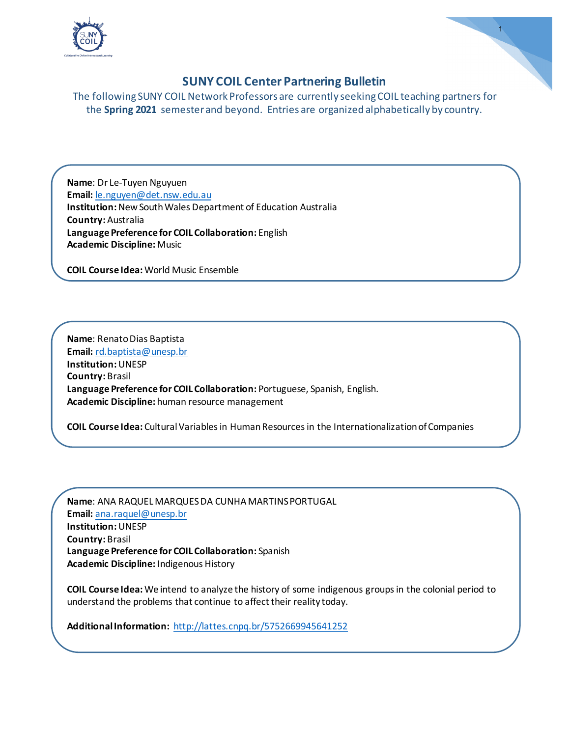

1

The following SUNY COIL Network Professors are currently seeking COIL teaching partners for the **Spring 2021** semester and beyond. Entries are organized alphabetically by country.

**Name**: Dr Le-Tuyen Nguyuen **Email:** [le.nguyen@det.nsw.edu.au](mailto:le.nguyen@det.nsw.edu.au)  **Institution:**New South Wales Department of Education Australia **Country:** Australia **Language Preference for COIL Collaboration:** English **Academic Discipline:** Music

**COIL Course Idea:** World Music Ensemble

**Name**: Renato Dias Baptista **Email:** [rd.baptista@unesp.br](mailto:rd.baptista@unesp.br)  **Institution:**UNESP **Country:** Brasil **Language Preference for COIL Collaboration:** Portuguese, Spanish, English. **Academic Discipline:** human resource management

**COIL Course Idea:** Cultural Variables in Human Resources in the Internationalization of Companies

**Name**: ANA RAQUEL MARQUES DA CUNHA MARTINS PORTUGAL **Email:** [ana.raquel@unesp.br](mailto:ana.raquel@unesp.br)  **Institution:**UNESP **Country:** Brasil **Language Preference for COIL Collaboration:** Spanish **Academic Discipline:** Indigenous History

**COIL Course Idea:** We intend to analyze the history of some indigenous groups in the colonial period to understand the problems that continue to affect their reality today.

**Additional Information:** <http://lattes.cnpq.br/5752669945641252>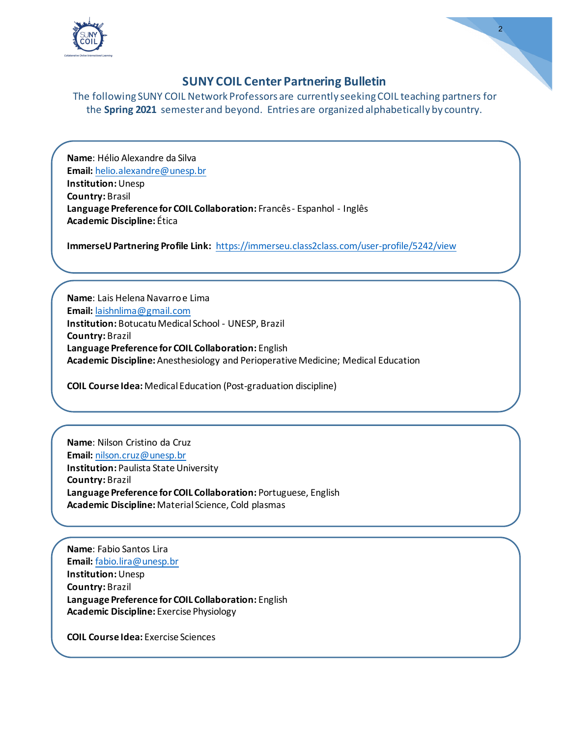

The following SUNY COIL Network Professors are currently seeking COIL teaching partners for the **Spring 2021** semester and beyond. Entries are organized alphabetically by country.

**Name**: Hélio Alexandre da Silva **Email:** [helio.alexandre@unesp.br](mailto:helio.alexandre@unesp.br)  **Institution:**Unesp **Country:** Brasil **Language Preference for COIL Collaboration:** Francês - Espanhol - Inglês **Academic Discipline:** Ética

**ImmerseU Partnering Profile Link:** <https://immerseu.class2class.com/user-profile/5242/view>

**Name**: Lais Helena Navarro e Lima **Email:** [laishnlima@gmail.com](mailto:laishnlima@gmail.com)  **Institution:** Botucatu Medical School - UNESP, Brazil **Country:** Brazil **Language Preference for COIL Collaboration:** English **Academic Discipline:** Anesthesiology and Perioperative Medicine; Medical Education

**COIL Course Idea:** Medical Education (Post-graduation discipline)

**Name**: Nilson Cristino da Cruz **Email:** [nilson.cruz@unesp.br](mailto:nilson.cruz@unesp.br)  **Institution:** Paulista State University **Country:** Brazil **Language Preference for COIL Collaboration:** Portuguese, English **Academic Discipline:** Material Science, Cold plasmas

**Name**: Fabio Santos Lira **Email:** [fabio.lira@unesp.br](mailto:fabio.lira@unesp.br)  **Institution:**Unesp **Country:** Brazil **Language Preference for COIL Collaboration:** English **Academic Discipline:** Exercise Physiology

**COIL Course Idea:** Exercise Sciences

2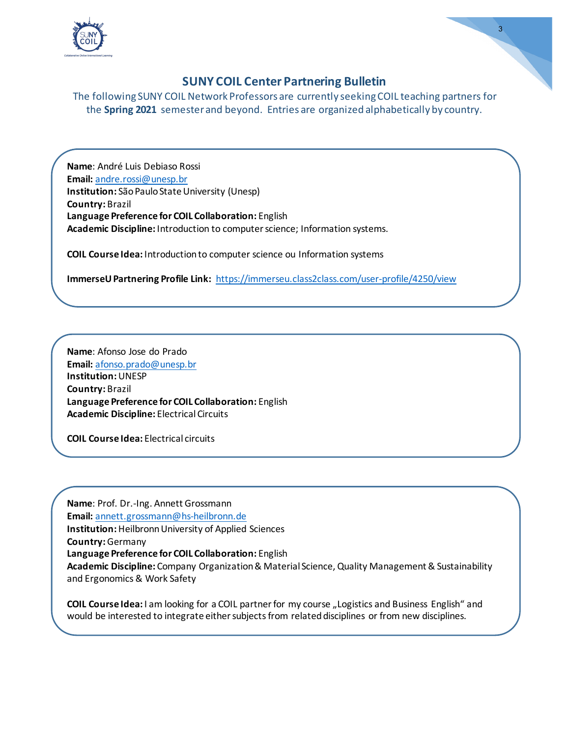

#### The following SUNY COIL Network Professors are currently seeking COIL teaching partners for the **Spring 2021** semester and beyond. Entries are organized alphabetically by country.

**Name**: André Luis Debiaso Rossi **Email:** [andre.rossi@unesp.br](mailto:andre.rossi@unesp.br)  **Institution:** São Paulo State University (Unesp) **Country:** Brazil **Language Preference for COIL Collaboration:** English **Academic Discipline:** Introduction to computer science; Information systems.

**COIL Course Idea:** Introduction to computer science ou Information systems

**ImmerseU Partnering Profile Link:** <https://immerseu.class2class.com/user-profile/4250/view>

**Name**: Afonso Jose do Prado **Email:** [afonso.prado@unesp.br](mailto:afonso.prado@unesp.br)  **Institution:**UNESP **Country:** Brazil **Language Preference for COIL Collaboration:** English **Academic Discipline:** Electrical Circuits

**COIL Course Idea:** Electrical circuits

**Name**: Prof. Dr.-Ing. Annett Grossmann **Email:** [annett.grossmann@hs-heilbronn.de](mailto:annett.grossmann@hs-heilbronn.de)  **Institution:**HeilbronnUniversity of Applied Sciences **Country:**Germany **Language Preference for COIL Collaboration:** English **Academic Discipline:** Company Organization & Material Science, Quality Management & Sustainability and Ergonomics & Work Safety

**COIL Course Idea:** I am looking for a COIL partner for my course "Logistics and Business English" and would be interested to integrate either subjects from related disciplines or from new disciplines.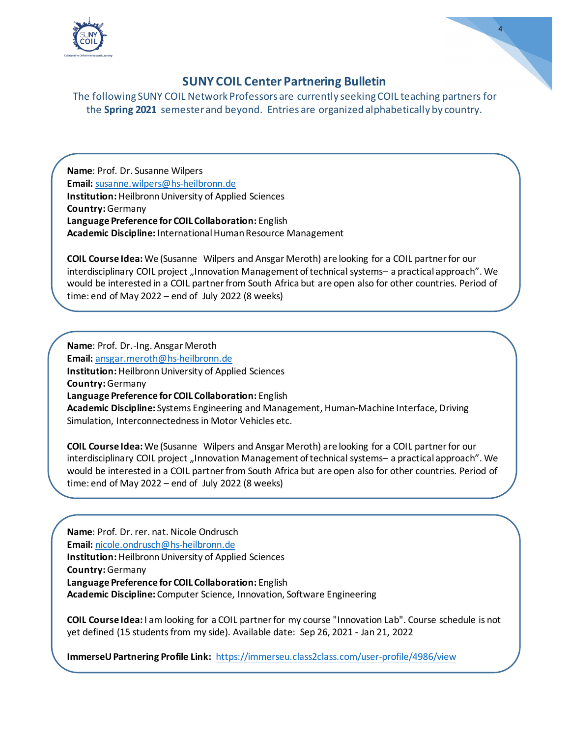

4

The following SUNY COIL Network Professors are currently seeking COIL teaching partners for the **Spring 2021** semester and beyond. Entries are organized alphabetically by country.

**Name**: Prof. Dr. Susanne Wilpers **Email:** [susanne.wilpers@hs-heilbronn.de](mailto:susanne.wilpers@hs-heilbronn.de)  **Institution:**Heilbronn University of Applied Sciences **Country:**Germany **Language Preference for COIL Collaboration:** English **Academic Discipline:** International Human Resource Management

**COIL Course Idea:** We (Susanne Wilpers and Ansgar Meroth) are looking for a COIL partner for our interdisciplinary COIL project "Innovation Management of technical systems- a practical approach". We would be interested in a COIL partner from South Africa but are open also for other countries. Period of time: end of May 2022 – end of July 2022 (8 weeks)

**Name**: Prof. Dr.-Ing. Ansgar Meroth **Email:** [ansgar.meroth@hs-heilbronn.de](mailto:ansgar.meroth@hs-heilbronn.de)  **Institution:**Heilbronn University of Applied Sciences **Country:**Germany **Language Preference for COIL Collaboration:** English **Academic Discipline:** Systems Engineering and Management, Human-Machine Interface, Driving Simulation, Interconnectedness in Motor Vehicles etc.

**COIL Course Idea:** We (Susanne Wilpers and Ansgar Meroth) are looking for a COIL partner for our interdisciplinary COIL project "Innovation Management of technical systems— a practical approach". We would be interested in a COIL partner from South Africa but are open also for other countries. Period of time: end of May 2022 – end of July 2022 (8 weeks)

**Name**: Prof. Dr. rer. nat. Nicole Ondrusch **Email:** [nicole.ondrusch@hs-heilbronn.de](mailto:nicole.ondrusch@hs-heilbronn.de)  **Institution:**Heilbronn University of Applied Sciences **Country:**Germany **Language Preference for COIL Collaboration:** English **Academic Discipline:** Computer Science, Innovation, Software Engineering

**COIL Course Idea:** I am looking for a COIL partner for my course "Innovation Lab". Course schedule is not yet defined (15 students from my side). Available date: Sep 26, 2021 - Jan 21, 2022

**ImmerseU Partnering Profile Link:** <https://immerseu.class2class.com/user-profile/4986/view>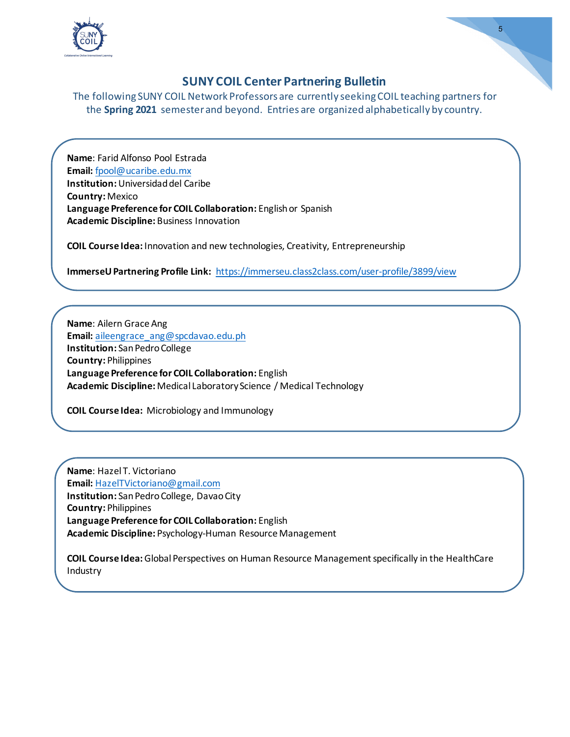

5

The following SUNY COIL Network Professors are currently seeking COIL teaching partners for the **Spring 2021** semester and beyond. Entries are organized alphabetically by country.

**Name**: Farid Alfonso Pool Estrada **Email:** [fpool@ucaribe.edu.mx](mailto:fpool@ucaribe.edu.mx)  **Institution:**Universidad del Caribe **Country:** Mexico **Language Preference for COIL Collaboration:** English or Spanish **Academic Discipline:** Business Innovation

**COIL Course Idea:** Innovation and new technologies, Creativity, Entrepreneurship

**ImmerseU Partnering Profile Link:** <https://immerseu.class2class.com/user-profile/3899/view>

**Name**: Ailern Grace Ang **Email:** [aileengrace\\_ang@spcdavao.edu.ph](mailto:aileengrace_ang@spcdavao.edu.ph) **Institution:** San Pedro College **Country:** Philippines **Language Preference for COIL Collaboration:** English **Academic Discipline:** Medical Laboratory Science / Medical Technology

**COIL Course Idea:** Microbiology and Immunology

**Name**: Hazel T. Victoriano **Email:** [HazelTVictoriano@gmail.com](mailto:HazelTVictoriano@gmail.com)  **Institution:** San Pedro College, Davao City **Country:** Philippines **Language Preference for COIL Collaboration:** English **Academic Discipline:** Psychology-Human Resource Management

**COIL Course Idea:**Global Perspectives on Human Resource Management specifically in the HealthCare Industry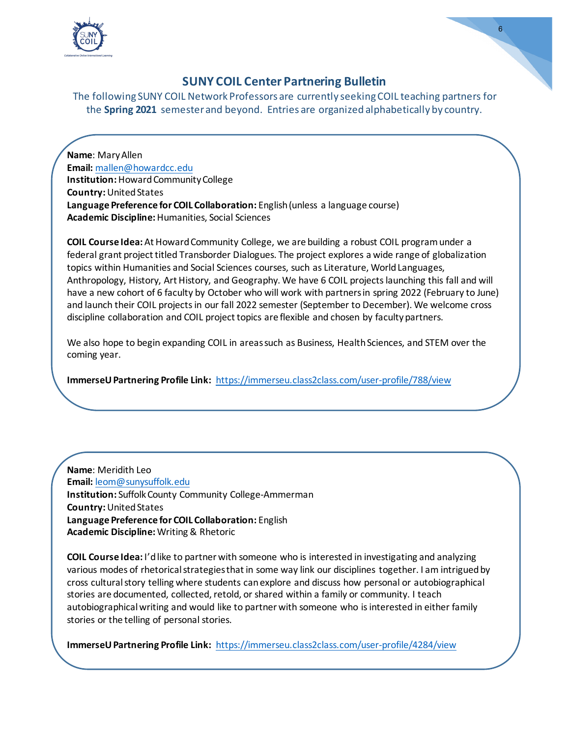

The following SUNY COIL Network Professors are currently seeking COIL teaching partners for the **Spring 2021** semester and beyond. Entries are organized alphabetically by country.

**Name**: Mary Allen **Email:** [mallen@howardcc.edu](mailto:mallen@howardcc.edu)  **Institution:**Howard Community College **Country:**United States **Language Preference for COIL Collaboration:** English (unless a language course) **Academic Discipline:**Humanities, Social Sciences

**COIL Course Idea:** At Howard Community College, we are building a robust COIL program under a federal grant project titled Transborder Dialogues. The project explores a wide range of globalization topics within Humanities and Social Sciences courses, such as Literature, World Languages, Anthropology, History, Art History, and Geography. We have 6 COIL projects launching this fall and will have a new cohort of 6 faculty by October who will work with partners in spring 2022 (February to June) and launch their COIL projects in our fall 2022 semester (September to December). We welcome cross discipline collaboration and COIL project topics are flexible and chosen by faculty partners.

We also hope to begin expanding COIL in areas such as Business, Health Sciences, and STEM over the coming year.

**ImmerseU Partnering Profile Link:** <https://immerseu.class2class.com/user-profile/788/view>

**Name**: Meridith Leo **Email:** [leom@sunysuffolk.edu](mailto:leom@sunysuffolk.edu)  **Institution:** Suffolk County Community College-Ammerman **Country:**United States **Language Preference for COIL Collaboration:** English **Academic Discipline:** Writing & Rhetoric

**COIL Course Idea:** I'd like to partner with someone who is interested in investigating and analyzing various modes of rhetorical strategies that in some way link our disciplines together. I am intrigued by cross cultural story telling where students can explore and discuss how personal or autobiographical stories are documented, collected, retold, or shared within a family or community. I teach autobiographical writing and would like to partner with someone who is interested in either family stories or the telling of personal stories.

**ImmerseU Partnering Profile Link:** <https://immerseu.class2class.com/user-profile/4284/view>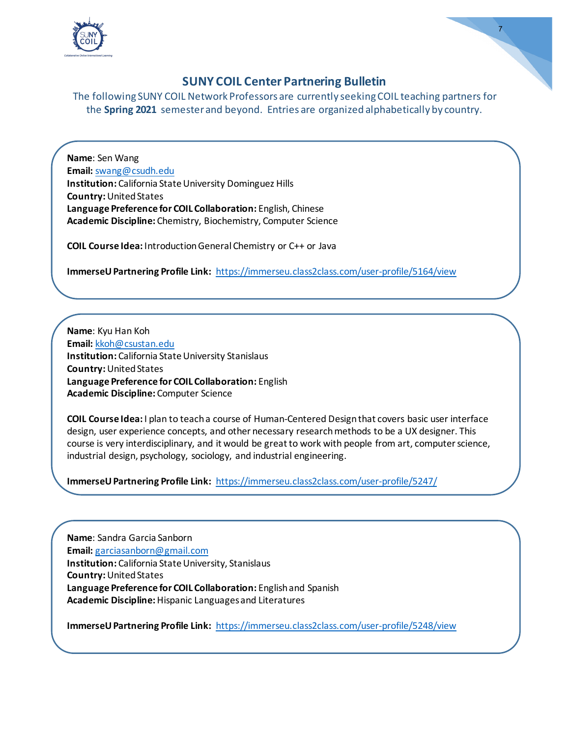

7

The following SUNY COIL Network Professors are currently seeking COIL teaching partners for the **Spring 2021** semester and beyond. Entries are organized alphabetically by country.

**Name**: Sen Wang **Email:** [swang@csudh.edu](mailto:swang@csudh.edu)  **Institution:** California State University Dominguez Hills **Country:**United States **Language Preference for COIL Collaboration:** English, Chinese **Academic Discipline:** Chemistry, Biochemistry, Computer Science

**COIL Course Idea:** Introduction General Chemistry or C++ or Java

**ImmerseU Partnering Profile Link:** https://immerseu.class2class.com/user-profile/5164/view

**Name**: Kyu Han Koh **Email:** [kkoh@csustan.edu](mailto:kkoh@csustan.edu)  **Institution:** California State University Stanislaus **Country:**United States **Language Preference for COIL Collaboration:** English **Academic Discipline:** Computer Science

**COIL Course Idea:** I plan to teach a course of Human-Centered Design that covers basic user interface design, user experience concepts, and other necessary research methods to be a UX designer. This course is very interdisciplinary, and it would be great to work with people from art, computer science, industrial design, psychology, sociology, and industrial engineering.

**ImmerseU Partnering Profile Link:** <https://immerseu.class2class.com/user-profile/5247/>

**Name**: Sandra Garcia Sanborn **Email:** [garciasanborn@gmail.com](mailto:garciasanborn@gmail.com) **Institution:** California State University, Stanislaus **Country:**United States **Language Preference for COIL Collaboration:** English and Spanish **Academic Discipline:**Hispanic Languages and Literatures

**ImmerseU Partnering Profile Link:** <https://immerseu.class2class.com/user-profile/5248/view>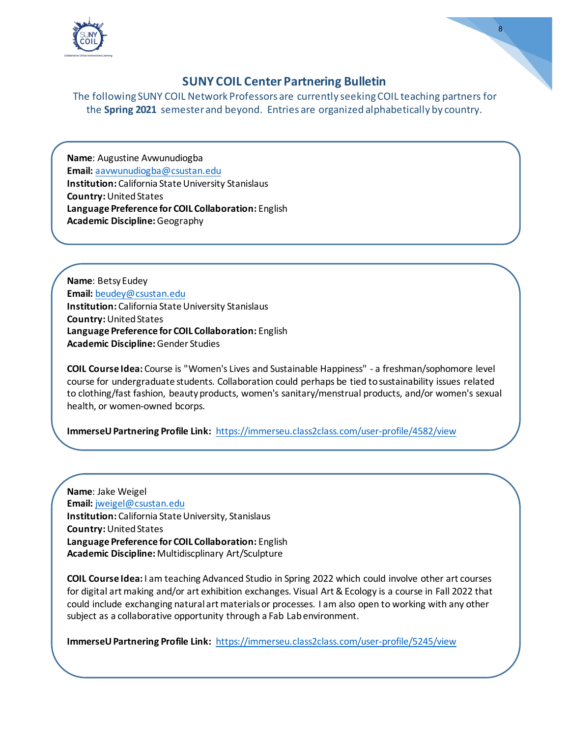

The following SUNY COIL Network Professors are currently seeking COIL teaching partners for the **Spring 2021** semester and beyond. Entries are organized alphabetically by country.

**Name**: Augustine Avwunudiogba **Email:** [aavwunudiogba@csustan.edu](mailto:aavwunudiogba@csustan.edu)  **Institution:** California State University Stanislaus **Country:**United States **Language Preference for COIL Collaboration:** English **Academic Discipline:**Geography

**Name**: Betsy Eudey **Email:** [beudey@csustan.edu](mailto:beudey@csustan.edu)  **Institution:** California State University Stanislaus **Country:**United States **Language Preference for COIL Collaboration:** English **Academic Discipline:**Gender Studies

**COIL Course Idea:** Course is "Women's Lives and Sustainable Happiness" - a freshman/sophomore level course for undergraduate students. Collaboration could perhaps be tied to sustainability issues related to clothing/fast fashion, beauty products, women's sanitary/menstrual products, and/or women's sexual health, or women-owned bcorps.

**ImmerseU Partnering Profile Link:** <https://immerseu.class2class.com/user-profile/4582/view>

**Name**: Jake Weigel **Email:** [jweigel@csustan.edu](mailto:jweigel@csustan.edu)  **Institution:** California State University, Stanislaus **Country:**United States **Language Preference for COIL Collaboration:** English **Academic Discipline:** Multidiscplinary Art/Sculpture

**COIL Course Idea:** I am teaching Advanced Studio in Spring 2022 which could involve other art courses for digital art making and/or art exhibition exchanges. Visual Art & Ecology is a course in Fall 2022 that could include exchanging natural art materials or processes. I am also open to working with any other subject as a collaborative opportunity through a Fab Lab environment.

**ImmerseU Partnering Profile Link:** <https://immerseu.class2class.com/user-profile/5245/view>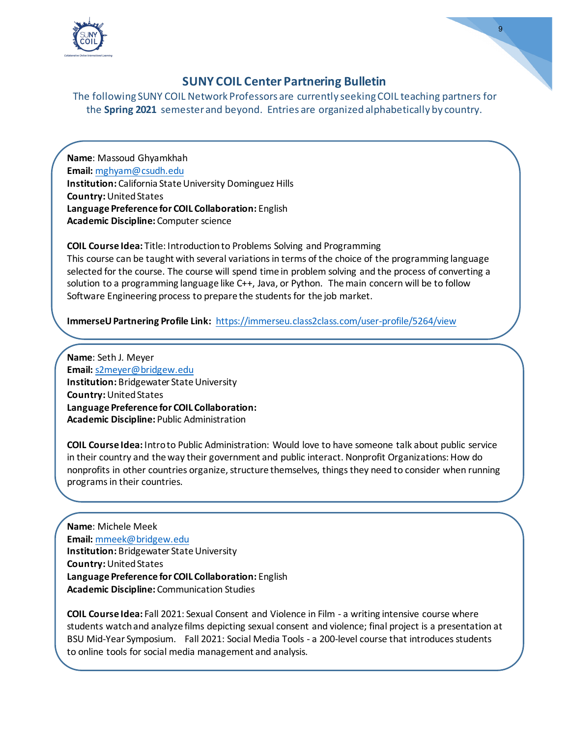

The following SUNY COIL Network Professors are currently seeking COIL teaching partners for the **Spring 2021** semester and beyond. Entries are organized alphabetically by country.

**Name**: Massoud Ghyamkhah **Email:** [mghyam@csudh.edu](mailto:mghyam@csudh.edu)  **Institution:** California State University Dominguez Hills **Country:**United States **Language Preference for COIL Collaboration:** English **Academic Discipline:** Computer science

**COIL Course Idea:** Title: Introduction to Problems Solving and Programming This course can be taught with several variations in terms of the choice of the programming language selected for the course. The course will spend time in problem solving and the process of converting a solution to a programming language like C++, Java, or Python. The main concern will be to follow Software Engineering process to prepare the students for the job market.

**ImmerseU Partnering Profile Link:** <https://immerseu.class2class.com/user-profile/5264/view>

**Name**: Seth J. Meyer **Email:** [s2meyer@bridgew.edu](mailto:s2meyer@bridgew.edu)  **Institution:** Bridgewater State University **Country:**United States **Language Preference for COIL Collaboration: Academic Discipline:** Public Administration

**COIL Course Idea:** Intro to Public Administration: Would love to have someone talk about public service in their country and the way their government and public interact. Nonprofit Organizations: How do nonprofits in other countries organize, structure themselves, things they need to consider when running programs in their countries.

**Name**: Michele Meek **Email:** [mmeek@bridgew.edu](mailto:mmeek@bridgew.edu)  **Institution:** Bridgewater State University **Country:**United States **Language Preference for COIL Collaboration:** English **Academic Discipline:** Communication Studies

**COIL Course Idea:** Fall 2021: Sexual Consent and Violence in Film - a writing intensive course where students watch and analyze films depicting sexual consent and violence; final project is a presentation at BSU Mid-Year Symposium. Fall 2021: Social Media Tools - a 200-level course that introduces students to online tools for social media management and analysis.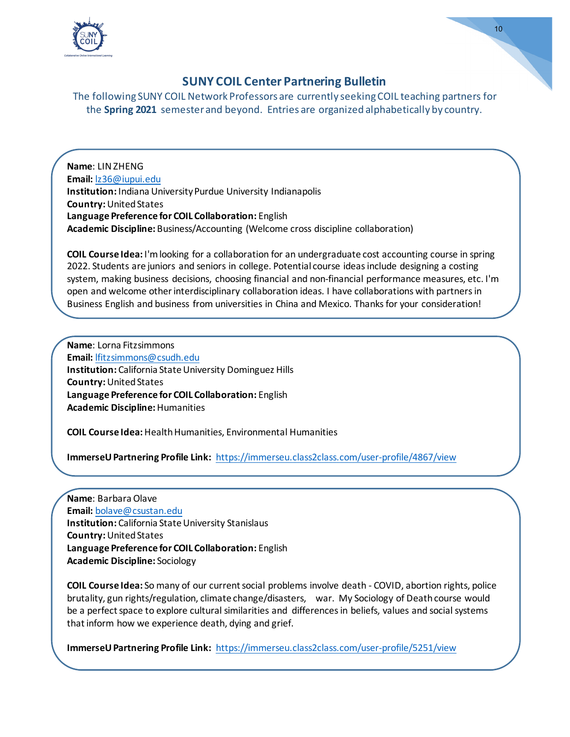

#### The following SUNY COIL Network Professors are currently seeking COIL teaching partners for the **Spring 2021** semester and beyond. Entries are organized alphabetically by country.

**Name**: LIN ZHENG **Email:** [lz36@iupui.edu](mailto:lz36@iupui.edu)  **Institution:** Indiana University Purdue University Indianapolis **Country:**United States **Language Preference for COIL Collaboration:** English **Academic Discipline:** Business/Accounting (Welcome cross discipline collaboration)

**COIL Course Idea:** I'm looking for a collaboration for an undergraduate cost accounting course in spring 2022. Students are juniors and seniors in college. Potential course ideas include designing a costing system, making business decisions, choosing financial and non-financial performance measures, etc. I'm open and welcome other interdisciplinary collaboration ideas. I have collaborations with partners in Business English and business from universities in China and Mexico. Thanks for your consideration!

**Name**: Lorna Fitzsimmons **Email:** [lfitzsimmons@csudh.edu](mailto:lfitzsimmons@csudh.edu)  **Institution:** California State University Dominguez Hills **Country:**United States **Language Preference for COIL Collaboration:** English **Academic Discipline:**Humanities

**COIL Course Idea:**Health Humanities, Environmental Humanities

**ImmerseU Partnering Profile Link:** <https://immerseu.class2class.com/user-profile/4867/view>

**Name**: Barbara Olave **Email:** [bolave@csustan.edu](mailto:bolave@csustan.edu)  **Institution:** California State University Stanislaus **Country:**United States **Language Preference for COIL Collaboration:** English **Academic Discipline:** Sociology

**COIL Course Idea:** So many of our current social problems involve death - COVID, abortion rights, police brutality, gun rights/regulation, climate change/disasters, war. My Sociology of Death course would be a perfect space to explore cultural similarities and differences in beliefs, values and social systems that inform how we experience death, dying and grief.

**ImmerseU Partnering Profile Link:** <https://immerseu.class2class.com/user-profile/5251/view>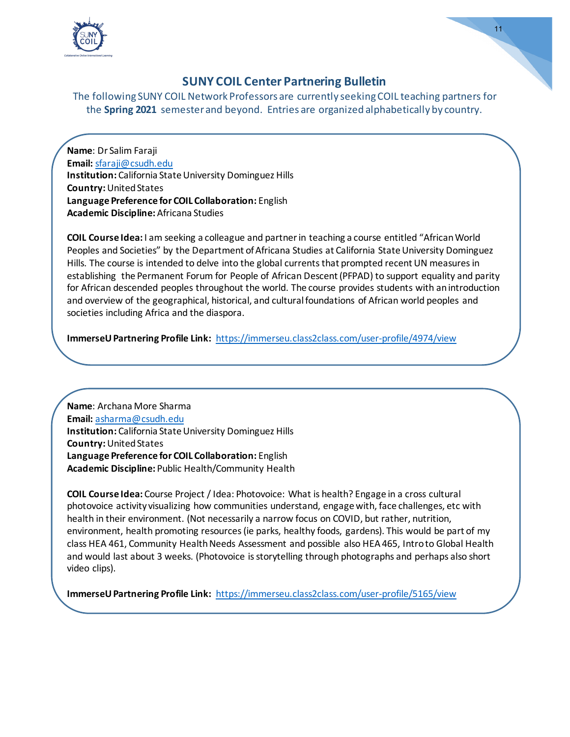

11

The following SUNY COIL Network Professors are currently seeking COIL teaching partners for the **Spring 2021** semester and beyond. Entries are organized alphabetically by country.

**Name**: Dr Salim Faraji **Email:** [sfaraji@csudh.edu](mailto:sfaraji@csudh.edu)  **Institution:** California State University Dominguez Hills **Country:**United States **Language Preference for COIL Collaboration:** English **Academic Discipline:** Africana Studies

**COIL Course Idea:** I am seeking a colleague and partner in teaching a course entitled "African World Peoples and Societies" by the Department of Africana Studies at California State University Dominguez Hills. The course is intended to delve into the global currents that prompted recent UN measures in establishing the Permanent Forum for People of African Descent (PFPAD) to support equality and parity for African descended peoples throughout the world. The course provides students with an introduction and overview of the geographical, historical, and cultural foundations of African world peoples and societies including Africa and the diaspora.

**ImmerseU Partnering Profile Link:** <https://immerseu.class2class.com/user-profile/4974/view>

**Name**: Archana More Sharma **Email:** [asharma@csudh.edu](mailto:asharma@csudh.edu)  **Institution:** California State University Dominguez Hills **Country:**United States **Language Preference for COIL Collaboration:** English **Academic Discipline:** Public Health/Community Health

**COIL Course Idea:** Course Project / Idea: Photovoice: What is health? Engage in a cross cultural photovoice activity visualizing how communities understand, engage with, face challenges, etc with health in their environment. (Not necessarily a narrow focus on COVID, but rather, nutrition, environment, health promoting resources (ie parks, healthy foods, gardens). This would be part of my class HEA 461, Community Health Needs Assessment and possible also HEA 465, Intro to Global Health and would last about 3 weeks. (Photovoice is storytelling through photographs and perhaps also short video clips).

**ImmerseU Partnering Profile Link:** <https://immerseu.class2class.com/user-profile/5165/view>